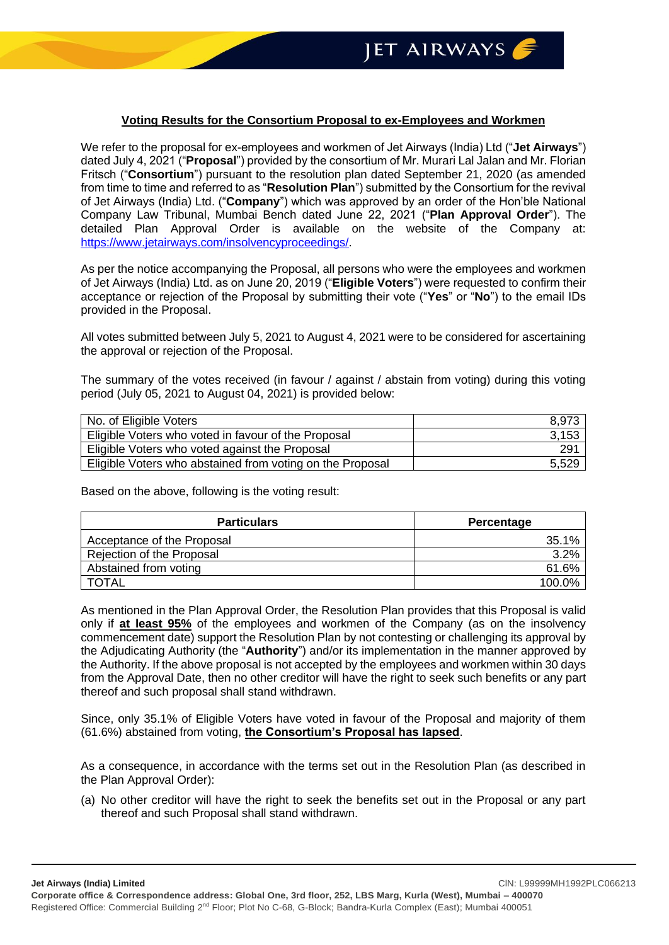## **Voting Results for the Consortium Proposal to ex-Employees and Workmen**

We refer to the proposal for ex-employees and workmen of Jet Airways (India) Ltd ("**Jet Airways**") dated July 4, 2021 ("**Proposal**") provided by the consortium of Mr. Murari Lal Jalan and Mr. Florian Fritsch ("**Consortium**") pursuant to the resolution plan dated September 21, 2020 (as amended from time to time and referred to as "**Resolution Plan**") submitted by the Consortium for the revival of Jet Airways (India) Ltd. ("**Company**") which was approved by an order of the Hon'ble National Company Law Tribunal, Mumbai Bench dated June 22, 2021 ("**Plan Approval Order**"). The detailed Plan Approval Order is available on the website of the Company at: [https://www.jetairways.com/insolvencyproceedings/.](https://www.jetairways.com/insolvencyproceedings/)

As per the notice accompanying the Proposal, all persons who were the employees and workmen of Jet Airways (India) Ltd. as on June 20, 2019 ("**Eligible Voters**") were requested to confirm their acceptance or rejection of the Proposal by submitting their vote ("**Yes**" or "**No**") to the email IDs provided in the Proposal.

All votes submitted between July 5, 2021 to August 4, 2021 were to be considered for ascertaining the approval or rejection of the Proposal.

The summary of the votes received (in favour / against / abstain from voting) during this voting period (July 05, 2021 to August 04, 2021) is provided below:

| No. of Eligible Voters                                    | 8,973 |
|-----------------------------------------------------------|-------|
| Eligible Voters who voted in favour of the Proposal       | 3,153 |
| Eligible Voters who voted against the Proposal            | 291   |
| Eligible Voters who abstained from voting on the Proposal | 5,529 |

Based on the above, following is the voting result:

| <b>Particulars</b>         | Percentage |
|----------------------------|------------|
| Acceptance of the Proposal | 35.1%      |
| Rejection of the Proposal  | 3.2%       |
| Abstained from voting      | 61.6%      |
| TOTAL                      | 100.0%     |

As mentioned in the Plan Approval Order, the Resolution Plan provides that this Proposal is valid only if **at least 95%** of the employees and workmen of the Company (as on the insolvency commencement date) support the Resolution Plan by not contesting or challenging its approval by the Adjudicating Authority (the "**Authority**") and/or its implementation in the manner approved by the Authority. If the above proposal is not accepted by the employees and workmen within 30 days from the Approval Date, then no other creditor will have the right to seek such benefits or any part thereof and such proposal shall stand withdrawn.

Since, only 35.1% of Eligible Voters have voted in favour of the Proposal and majority of them (61.6%) abstained from voting, **the Consortium's Proposal has lapsed**.

As a consequence, in accordance with the terms set out in the Resolution Plan (as described in the Plan Approval Order):

(a) No other creditor will have the right to seek the benefits set out in the Proposal or any part thereof and such Proposal shall stand withdrawn.